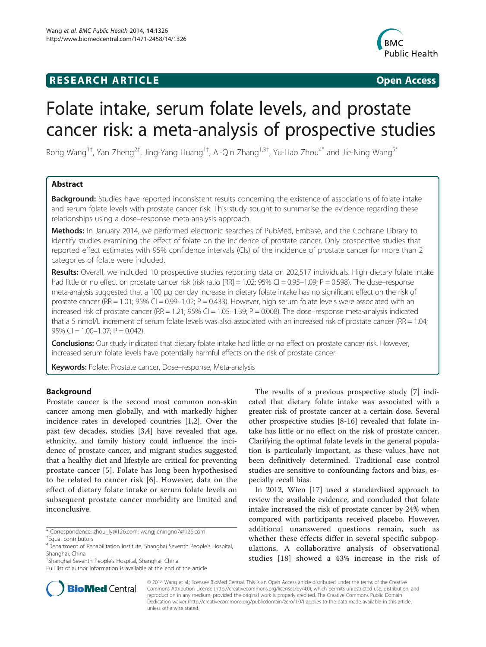# **RESEARCH ARTICLE Example 2018 12:00 Department of the CONNECTION CONNECTION CONNECTION CONNECTION**



# Folate intake, serum folate levels, and prostate cancer risk: a meta-analysis of prospective studies

Rong Wang<sup>1†</sup>, Yan Zheng<sup>2†</sup>, Jing-Yang Huang<sup>1†</sup>, Ai-Qin Zhang<sup>1,3†</sup>, Yu-Hao Zhou<sup>4\*</sup> and Jie-Ning Wang<sup>5\*</sup>

# Abstract

Background: Studies have reported inconsistent results concerning the existence of associations of folate intake and serum folate levels with prostate cancer risk. This study sought to summarise the evidence regarding these relationships using a dose–response meta-analysis approach.

Methods: In January 2014, we performed electronic searches of PubMed, Embase, and the Cochrane Library to identify studies examining the effect of folate on the incidence of prostate cancer. Only prospective studies that reported effect estimates with 95% confidence intervals (CIs) of the incidence of prostate cancer for more than 2 categories of folate were included.

Results: Overall, we included 10 prospective studies reporting data on 202,517 individuals. High dietary folate intake had little or no effect on prostate cancer risk (risk ratio  $[RR] = 1.02$ ; 95% CI = 0.95–1.09; P = 0.598). The dose–response meta-analysis suggested that a 100 μg per day increase in dietary folate intake has no significant effect on the risk of prostate cancer (RR = 1.01; 95% CI = 0.99-1.02;  $P = 0.433$ ). However, high serum folate levels were associated with an increased risk of prostate cancer (RR = 1.21; 95% CI = 1.05-1.39; P = 0.008). The dose-response meta-analysis indicated that a 5 nmol/L increment of serum folate levels was also associated with an increased risk of prostate cancer (RR = 1.04; 95% CI =  $1.00-1.07$ ; P = 0.042).

Conclusions: Our study indicated that dietary folate intake had little or no effect on prostate cancer risk. However, increased serum folate levels have potentially harmful effects on the risk of prostate cancer.

Keywords: Folate, Prostate cancer, Dose-response, Meta-analysis

# Background

Prostate cancer is the second most common non-skin cancer among men globally, and with markedly higher incidence rates in developed countries [\[1,2](#page-8-0)]. Over the past few decades, studies [\[3,4](#page-8-0)] have revealed that age, ethnicity, and family history could influence the incidence of prostate cancer, and migrant studies suggested that a healthy diet and lifestyle are critical for preventing prostate cancer [\[5](#page-8-0)]. Folate has long been hypothesised to be related to cancer risk [[6\]](#page-8-0). However, data on the effect of dietary folate intake or serum folate levels on subsequent prostate cancer morbidity are limited and inconclusive.

The results of a previous prospective study [[7](#page-8-0)] indicated that dietary folate intake was associated with a greater risk of prostate cancer at a certain dose. Several other prospective studies [[8-](#page-8-0)[16](#page-9-0)] revealed that folate intake has little or no effect on the risk of prostate cancer. Clarifying the optimal folate levels in the general population is particularly important, as these values have not been definitively determined. Traditional case control studies are sensitive to confounding factors and bias, especially recall bias.

In 2012, Wien [\[17](#page-9-0)] used a standardised approach to review the available evidence, and concluded that folate intake increased the risk of prostate cancer by 24% when compared with participants received placebo. However, additional unanswered questions remain, such as whether these effects differ in several specific subpopulations. A collaborative analysis of observational studies [[18\]](#page-9-0) showed a 43% increase in the risk of



© 2014 Wang et al.; licensee BioMed Central. This is an Open Access article distributed under the terms of the Creative Commons Attribution License [\(http://creativecommons.org/licenses/by/4.0\)](http://creativecommons.org/licenses/by/4.0), which permits unrestricted use, distribution, and reproduction in any medium, provided the original work is properly credited. The Creative Commons Public Domain Dedication waiver [\(http://creativecommons.org/publicdomain/zero/1.0/](http://creativecommons.org/publicdomain/zero/1.0/)) applies to the data made available in this article, unless otherwise stated.

<sup>\*</sup> Correspondence: [zhou\\_ly@126.com;](mailto:zhou_ly@126.com) [wangjieningno7@126.com](mailto:wangjieningno7@126.com) †

<sup>&</sup>lt;sup>+</sup>Equal contributors

<sup>4</sup> Department of Rehabilitation Institute, Shanghai Seventh People's Hospital, Shanghai, China

<sup>5</sup> Shanghai Seventh People's Hospital, Shanghai, China

Full list of author information is available at the end of the article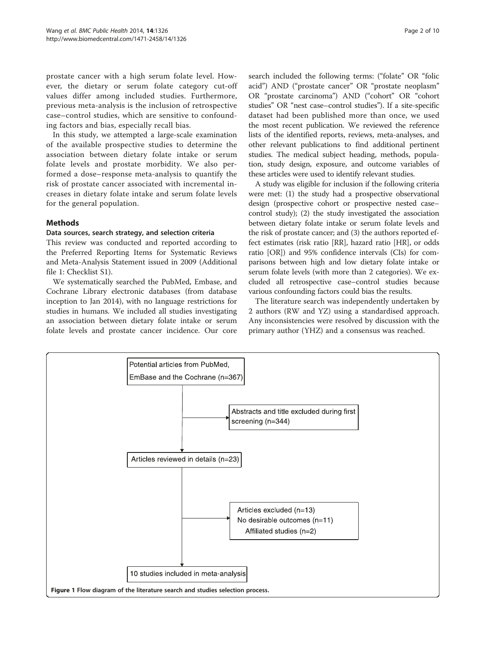<span id="page-1-0"></span>prostate cancer with a high serum folate level. However, the dietary or serum folate category cut-off values differ among included studies. Furthermore, previous meta-analysis is the inclusion of retrospective case–control studies, which are sensitive to confounding factors and bias, especially recall bias.

In this study, we attempted a large-scale examination of the available prospective studies to determine the association between dietary folate intake or serum folate levels and prostate morbidity. We also performed a dose–response meta-analysis to quantify the risk of prostate cancer associated with incremental increases in dietary folate intake and serum folate levels for the general population.

# **Methods**

# Data sources, search strategy, and selection criteria

This review was conducted and reported according to the Preferred Reporting Items for Systematic Reviews and Meta-Analysis Statement issued in 2009 (Additional file [1:](#page-8-0) Checklist S1).

We systematically searched the PubMed, Embase, and Cochrane Library electronic databases (from database inception to Jan 2014), with no language restrictions for studies in humans. We included all studies investigating an association between dietary folate intake or serum folate levels and prostate cancer incidence. Our core search included the following terms: ("folate" OR "folic acid") AND ("prostate cancer" OR "prostate neoplasm" OR "prostate carcinoma") AND ("cohort" OR "cohort studies" OR "nest case–control studies"). If a site-specific dataset had been published more than once, we used the most recent publication. We reviewed the reference lists of the identified reports, reviews, meta-analyses, and other relevant publications to find additional pertinent studies. The medical subject heading, methods, population, study design, exposure, and outcome variables of these articles were used to identify relevant studies.

A study was eligible for inclusion if the following criteria were met: (1) the study had a prospective observational design (prospective cohort or prospective nested case– control study); (2) the study investigated the association between dietary folate intake or serum folate levels and the risk of prostate cancer; and (3) the authors reported effect estimates (risk ratio [RR], hazard ratio [HR], or odds ratio [OR]) and 95% confidence intervals (CIs) for comparisons between high and low dietary folate intake or serum folate levels (with more than 2 categories). We excluded all retrospective case–control studies because various confounding factors could bias the results.

The literature search was independently undertaken by 2 authors (RW and YZ) using a standardised approach. Any inconsistencies were resolved by discussion with the primary author (YHZ) and a consensus was reached.

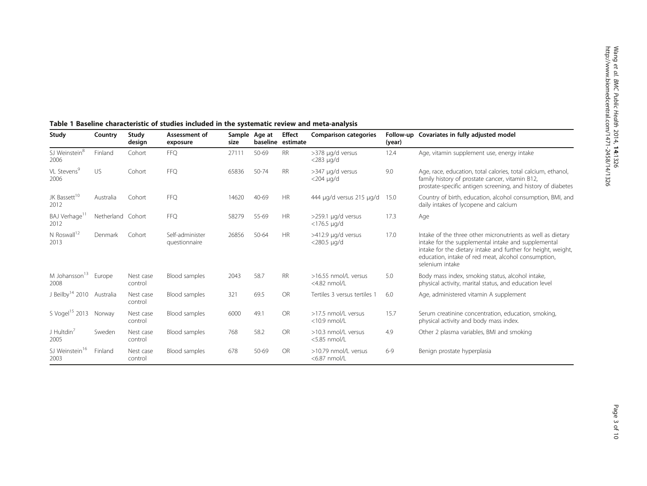| Study                              | Country           | Study<br>design      | Assessment of<br>exposure        | size  | Sample Age at | Effect<br>baseline estimate | <b>Comparison categories</b>            | (year)  | Follow-up Covariates in fully adjusted model                                                                                                                                                                                                                  |
|------------------------------------|-------------------|----------------------|----------------------------------|-------|---------------|-----------------------------|-----------------------------------------|---------|---------------------------------------------------------------------------------------------------------------------------------------------------------------------------------------------------------------------------------------------------------------|
| SJ Weinstein <sup>8</sup><br>2006  | Finland           | Cohort               | <b>FFQ</b>                       | 27111 | 50-69         | <b>RR</b>                   | >378 µg/d versus<br>$<$ 283 µg/d        | 12.4    | Age, vitamin supplement use, energy intake                                                                                                                                                                                                                    |
| VL Stevens <sup>9</sup><br>2006    | <b>US</b>         | Cohort               | <b>FFO</b>                       | 65836 | 50-74         | <b>RR</b>                   | >347 µg/d versus<br>$<$ 204 µg/d        | 9.0     | Age, race, education, total calories, total calcium, ethanol,<br>family history of prostate cancer, vitamin B12,<br>prostate-specific antigen screening, and history of diabetes                                                                              |
| JK Bassett <sup>10</sup><br>2012   | Australia         | Cohort               | <b>FFQ</b>                       | 14620 | 40-69         | <b>HR</b>                   | 444 µg/d versus 215 µg/d                | 15.0    | Country of birth, education, alcohol consumption, BMI, and<br>daily intakes of lycopene and calcium                                                                                                                                                           |
| BAJ Verhage <sup>11</sup><br>2012  | Netherland Cohort |                      | <b>FFQ</b>                       | 58279 | 55-69         | HR                          | >259.1 µg/d versus<br>$<$ 176.5 µg/d    | 17.3    | Age                                                                                                                                                                                                                                                           |
| N Roswall <sup>12</sup><br>2013    | Denmark           | Cohort               | Self-administer<br>questionnaire | 26856 | 50-64         | <b>HR</b>                   | >412.9 µg/d versus<br>$<$ 280.5 µg/d    | 17.0    | Intake of the three other micronutrients as well as dietary<br>intake for the supplemental intake and supplemental<br>intake for the dietary intake and further for height, weight,<br>education, intake of red meat, alcohol consumption,<br>selenium intake |
| M Johansson <sup>13</sup><br>2008  | Europe            | Nest case<br>control | Blood samples                    | 2043  | 58.7          | <b>RR</b>                   | >16.55 nmol/L versus<br>$<$ 4.82 nmol/L | 5.0     | Body mass index, smoking status, alcohol intake,<br>physical activity, marital status, and education level                                                                                                                                                    |
| J Beilby <sup>14</sup> 2010        | Australia         | Nest case<br>control | Blood samples                    | 321   | 69.5          | <b>OR</b>                   | Tertiles 3 versus tertiles              | 6.0     | Age, administered vitamin A supplement                                                                                                                                                                                                                        |
| S Vogel <sup>15</sup> 2013         | Norway            | Nest case<br>control | Blood samples                    | 6000  | 49.1          | <b>OR</b>                   | >17.5 nmol/L versus<br>$<$ 10.9 nmol/L  | 15.7    | Serum creatinine concentration, education, smoking,<br>physical activity and body mass index.                                                                                                                                                                 |
| J Hultdin $^7$<br>2005             | Sweden            | Nest case<br>control | Blood samples                    | 768   | 58.2          | OR                          | >10.3 nmol/L versus<br>$<$ 5.85 nmol/L  | 4.9     | Other 2 plasma variables, BMI and smoking                                                                                                                                                                                                                     |
| SJ Weinstein <sup>16</sup><br>2003 | Finland           | Nest case<br>control | Blood samples                    | 678   | 50-69         | <b>OR</b>                   | >10.79 nmol/L versus<br><6.87 nmol/L    | $6 - 9$ | Benign prostate hyperplasia                                                                                                                                                                                                                                   |

# <span id="page-2-0"></span>Table 1 Baseline characteristic of studies included in the systematic review and meta-analysis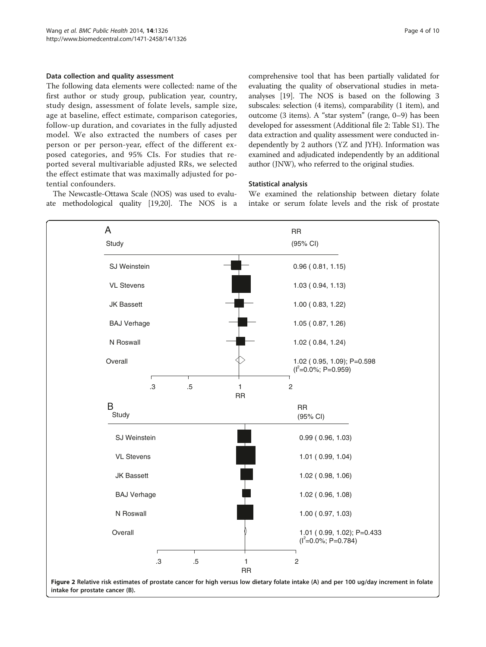#### <span id="page-3-0"></span>Data collection and quality assessment

The following data elements were collected: name of the first author or study group, publication year, country, study design, assessment of folate levels, sample size, age at baseline, effect estimate, comparison categories, follow-up duration, and covariates in the fully adjusted model. We also extracted the numbers of cases per person or per person-year, effect of the different exposed categories, and 95% CIs. For studies that reported several multivariable adjusted RRs, we selected the effect estimate that was maximally adjusted for potential confounders.

The Newcastle-Ottawa Scale (NOS) was used to evaluate methodological quality [[19,20\]](#page-9-0). The NOS is a comprehensive tool that has been partially validated for evaluating the quality of observational studies in metaanalyses [\[19\]](#page-9-0). The NOS is based on the following 3 subscales: selection (4 items), comparability (1 item), and outcome (3 items). A "star system" (range, 0–9) has been developed for assessment (Additional file [2](#page-8-0): Table S1). The data extraction and quality assessment were conducted independently by 2 authors (YZ and JYH). Information was examined and adjudicated independently by an additional author (JNW), who referred to the original studies.

#### Statistical analysis

We examined the relationship between dietary folate intake or serum folate levels and the risk of prostate



intake for prostate cancer (B).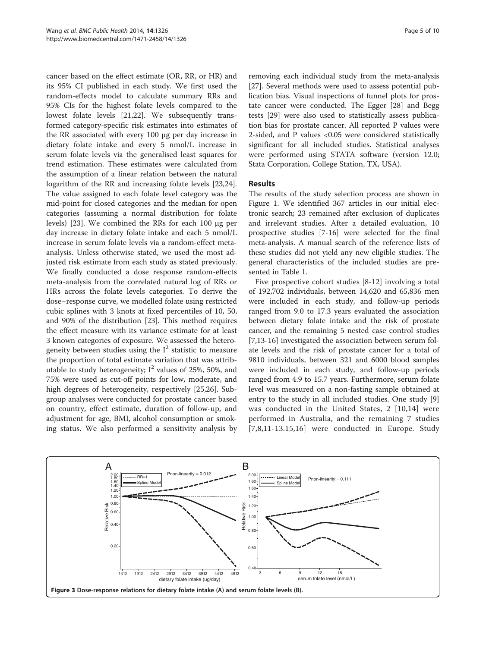<span id="page-4-0"></span>cancer based on the effect estimate (OR, RR, or HR) and its 95% CI published in each study. We first used the random-effects model to calculate summary RRs and 95% CIs for the highest folate levels compared to the lowest folate levels [\[21,22](#page-9-0)]. We subsequently transformed category-specific risk estimates into estimates of the RR associated with every 100 μg per day increase in dietary folate intake and every 5 nmol/L increase in serum folate levels via the generalised least squares for trend estimation. These estimates were calculated from the assumption of a linear relation between the natural logarithm of the RR and increasing folate levels [\[23,24](#page-9-0)]. The value assigned to each folate level category was the mid-point for closed categories and the median for open categories (assuming a normal distribution for folate levels) [\[23](#page-9-0)]. We combined the RRs for each 100 μg per day increase in dietary folate intake and each 5 nmol/L increase in serum folate levels via a random-effect metaanalysis. Unless otherwise stated, we used the most adjusted risk estimate from each study as stated previously. We finally conducted a dose response random-effects meta-analysis from the correlated natural log of RRs or HRs across the folate levels categories. To derive the dose–response curve, we modelled folate using restricted cubic splines with 3 knots at fixed percentiles of 10, 50, and 90% of the distribution [[23](#page-9-0)]. This method requires the effect measure with its variance estimate for at least 3 known categories of exposure. We assessed the heterogeneity between studies using the  $I^2$  statistic to measure the proportion of total estimate variation that was attributable to study heterogeneity;  $I^2$  values of 25%, 50%, and 75% were used as cut-off points for low, moderate, and high degrees of heterogeneity, respectively [[25](#page-9-0),[26](#page-9-0)]. Subgroup analyses were conducted for prostate cancer based on country, effect estimate, duration of follow-up, and adjustment for age, BMI, alcohol consumption or smoking status. We also performed a sensitivity analysis by

removing each individual study from the meta-analysis [[27\]](#page-9-0). Several methods were used to assess potential publication bias. Visual inspections of funnel plots for prostate cancer were conducted. The Egger [\[28](#page-9-0)] and Begg tests [[29](#page-9-0)] were also used to statistically assess publication bias for prostate cancer. All reported P values were 2-sided, and P values <0.05 were considered statistically significant for all included studies. Statistical analyses were performed using STATA software (version 12.0; Stata Corporation, College Station, TX, USA).

#### Results

The results of the study selection process are shown in Figure [1.](#page-1-0) We identified 367 articles in our initial electronic search; 23 remained after exclusion of duplicates and irrelevant studies. After a detailed evaluation, 10 prospective studies [\[7](#page-8-0)-[16](#page-9-0)] were selected for the final meta-analysis. A manual search of the reference lists of these studies did not yield any new eligible studies. The general characteristics of the included studies are presented in Table [1.](#page-2-0)

Five prospective cohort studies [\[8](#page-8-0)-[12\]](#page-8-0) involving a total of 192,702 individuals, between 14,620 and 65,836 men were included in each study, and follow-up periods ranged from 9.0 to 17.3 years evaluated the association between dietary folate intake and the risk of prostate cancer, and the remaining 5 nested case control studies [[7,](#page-8-0)[13-16](#page-9-0)] investigated the association between serum folate levels and the risk of prostate cancer for a total of 9810 individuals, between 321 and 6000 blood samples were included in each study, and follow-up periods ranged from 4.9 to 15.7 years. Furthermore, serum folate level was measured on a non-fasting sample obtained at entry to the study in all included studies. One study [\[9](#page-8-0)] was conducted in the United States, 2 [[10,](#page-8-0)[14](#page-9-0)] were performed in Australia, and the remaining 7 studies [7,8,11-13.15,16] were conducted in Europe. Study

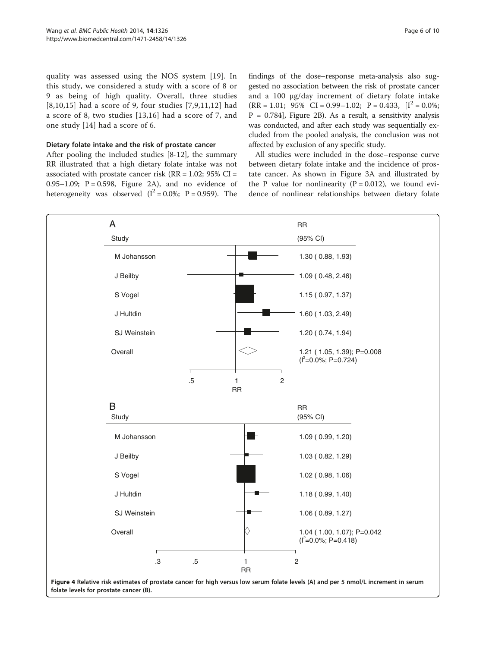<span id="page-5-0"></span>quality was assessed using the NOS system [[19\]](#page-9-0). In this study, we considered a study with a score of 8 or 9 as being of high quality. Overall, three studies [[8,10,](#page-8-0)[15](#page-9-0)] had a score of 9, four studies [[7,9](#page-8-0),[11,12](#page-8-0)] had a score of 8, two studies [\[13,16](#page-9-0)] had a score of 7, and one study [\[14](#page-9-0)] had a score of 6.

#### Dietary folate intake and the risk of prostate cancer

After pooling the included studies [\[8-12](#page-8-0)], the summary RR illustrated that a high dietary folate intake was not associated with prostate cancer risk ( $RR = 1.02$ ;  $95\%$  CI = 0.95–1.09;  $P = 0.598$ , Figure [2](#page-3-0)A), and no evidence of heterogeneity was observed  $(I^2 = 0.0\%; P = 0.959)$ . The

findings of the dose–response meta-analysis also suggested no association between the risk of prostate cancer and a 100 μg/day increment of dietary folate intake  $(RR = 1.01; 95\% \text{ CI} = 0.99 - 1.02; P = 0.433, [I^2 = 0.0\%;$  $P = 0.784$ , Figure [2](#page-3-0)B). As a result, a sensitivity analysis was conducted, and after each study was sequentially excluded from the pooled analysis, the conclusion was not affected by exclusion of any specific study.

All studies were included in the dose–response curve between dietary folate intake and the incidence of prostate cancer. As shown in Figure [3](#page-4-0)A and illustrated by the P value for nonlinearity  $(P = 0.012)$ , we found evidence of nonlinear relationships between dietary folate

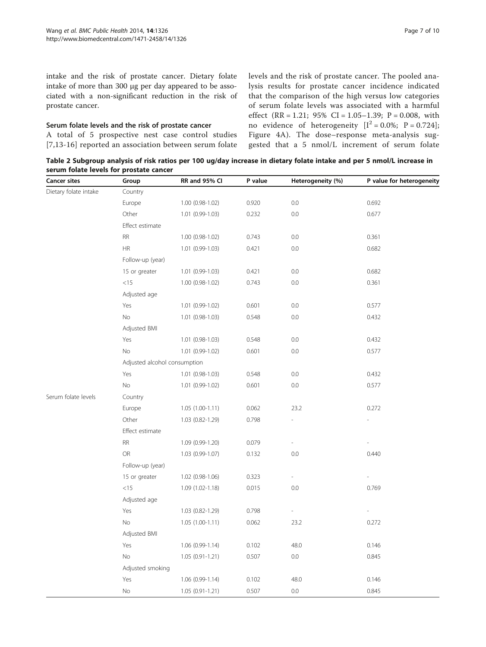<span id="page-6-0"></span>intake and the risk of prostate cancer. Dietary folate intake of more than 300 μg per day appeared to be associated with a non-significant reduction in the risk of prostate cancer.

#### Serum folate levels and the risk of prostate cancer

A total of 5 prospective nest case control studies [[7](#page-8-0)[,13-16\]](#page-9-0) reported an association between serum folate levels and the risk of prostate cancer. The pooled analysis results for prostate cancer incidence indicated that the comparison of the high versus low categories of serum folate levels was associated with a harmful effect (RR = 1.21;  $95\%$  CI = 1.05–1.39; P = 0.008, with no evidence of heterogeneity  $[I^2 = 0.0\%; P = 0.724]$ ; Figure [4A](#page-5-0)). The dose–response meta-analysis suggested that a 5 nmol/L increment of serum folate

Table 2 Subgroup analysis of risk ratios per 100 ug/day increase in dietary folate intake and per 5 nmol/L increase in serum folate levels for prostate cancer

| <b>Cancer sites</b>   | Group                        | RR and 95% CI       | P value | Heterogeneity (%)        | P value for heterogeneity |  |  |  |  |  |  |  |
|-----------------------|------------------------------|---------------------|---------|--------------------------|---------------------------|--|--|--|--|--|--|--|
| Dietary folate intake | Country                      |                     |         |                          |                           |  |  |  |  |  |  |  |
|                       | Europe                       | 1.00 (0.98-1.02)    | 0.920   | $0.0\,$                  | 0.692                     |  |  |  |  |  |  |  |
|                       | Other                        | 1.01 (0.99-1.03)    | 0.232   | $0.0\,$                  | 0.677                     |  |  |  |  |  |  |  |
|                       | Effect estimate              |                     |         |                          |                           |  |  |  |  |  |  |  |
|                       | <b>RR</b>                    | 1.00 (0.98-1.02)    | 0.743   | $0.0\,$                  | 0.361                     |  |  |  |  |  |  |  |
|                       | <b>HR</b>                    | $1.01(0.99-1.03)$   | 0.421   | 0.0                      | 0.682                     |  |  |  |  |  |  |  |
|                       | Follow-up (year)             |                     |         |                          |                           |  |  |  |  |  |  |  |
|                       | 15 or greater                | 1.01 (0.99-1.03)    | 0.421   | 0.0                      | 0.682                     |  |  |  |  |  |  |  |
|                       | <15                          | 1.00 (0.98-1.02)    | 0.743   | 0.0                      | 0.361                     |  |  |  |  |  |  |  |
|                       | Adjusted age                 |                     |         |                          |                           |  |  |  |  |  |  |  |
|                       | Yes                          | 1.01 (0.99-1.02)    | 0.601   | 0.0                      | 0.577                     |  |  |  |  |  |  |  |
|                       | No                           | 1.01 (0.98-1.03)    | 0.548   | $0.0\,$                  | 0.432                     |  |  |  |  |  |  |  |
|                       | Adjusted BMI                 |                     |         |                          |                           |  |  |  |  |  |  |  |
|                       | Yes                          | 1.01 (0.98-1.03)    | 0.548   | 0.0                      | 0.432                     |  |  |  |  |  |  |  |
|                       | No                           | 1.01 (0.99-1.02)    | 0.601   | 0.0                      | 0.577                     |  |  |  |  |  |  |  |
|                       | Adjusted alcohol consumption |                     |         |                          |                           |  |  |  |  |  |  |  |
|                       | Yes                          | 1.01 (0.98-1.03)    | 0.548   | 0.0                      | 0.432                     |  |  |  |  |  |  |  |
|                       | No                           | 1.01 (0.99-1.02)    | 0.601   | 0.0                      | 0.577                     |  |  |  |  |  |  |  |
| Serum folate levels   | Country                      |                     |         |                          |                           |  |  |  |  |  |  |  |
|                       | Europe                       | $1.05(1.00-1.11)$   | 0.062   | 23.2                     | 0.272                     |  |  |  |  |  |  |  |
|                       | Other                        | 1.03 (0.82-1.29)    | 0.798   |                          |                           |  |  |  |  |  |  |  |
|                       | Effect estimate              |                     |         |                          |                           |  |  |  |  |  |  |  |
|                       | <b>RR</b>                    | 1.09 (0.99-1.20)    | 0.079   | L.                       |                           |  |  |  |  |  |  |  |
|                       | OR                           | 1.03 (0.99-1.07)    | 0.132   | 0.0                      | 0.440                     |  |  |  |  |  |  |  |
|                       | Follow-up (year)             |                     |         |                          |                           |  |  |  |  |  |  |  |
|                       | 15 or greater                | 1.02 (0.98-1.06)    | 0.323   | $\overline{\phantom{a}}$ |                           |  |  |  |  |  |  |  |
|                       | <15                          | 1.09 (1.02-1.18)    | 0.015   | 0.0                      | 0.769                     |  |  |  |  |  |  |  |
|                       | Adjusted age                 |                     |         |                          |                           |  |  |  |  |  |  |  |
|                       | Yes                          | $1.03(0.82 - 1.29)$ | 0.798   | $\overline{\phantom{a}}$ |                           |  |  |  |  |  |  |  |
|                       | No                           | $1.05(1.00-1.11)$   | 0.062   | 23.2                     | 0.272                     |  |  |  |  |  |  |  |
|                       | Adjusted BMI                 |                     |         |                          |                           |  |  |  |  |  |  |  |
|                       | Yes                          | $1.06(0.99-1.14)$   | 0.102   | 48.0                     | 0.146                     |  |  |  |  |  |  |  |
|                       | No                           | $1.05(0.91 - 1.21)$ | 0.507   | 0.0                      | 0.845                     |  |  |  |  |  |  |  |
|                       | Adjusted smoking             |                     |         |                          |                           |  |  |  |  |  |  |  |
|                       | Yes                          | $1.06(0.99-1.14)$   | 0.102   | 48.0                     | 0.146                     |  |  |  |  |  |  |  |
|                       | No                           | $1.05(0.91 - 1.21)$ | 0.507   | $0.0\,$                  | 0.845                     |  |  |  |  |  |  |  |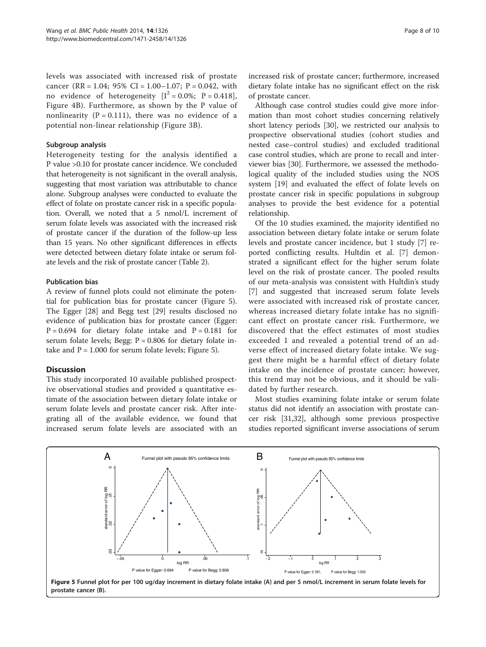levels was associated with increased risk of prostate cancer (RR = 1.04; 95% CI = 1.00–1.07; P = 0.042, with no evidence of heterogeneity  $[I^2 = 0.0\%; P = 0.418]$ , Figure [4B](#page-5-0)). Furthermore, as shown by the P value of nonlinearity ( $P = 0.111$ ), there was no evidence of a potential non-linear relationship (Figure [3](#page-4-0)B).

#### Subgroup analysis

Heterogeneity testing for the analysis identified a P value >0.10 for prostate cancer incidence. We concluded that heterogeneity is not significant in the overall analysis, suggesting that most variation was attributable to chance alone. Subgroup analyses were conducted to evaluate the effect of folate on prostate cancer risk in a specific population. Overall, we noted that a 5 nmol/L increment of serum folate levels was associated with the increased risk of prostate cancer if the duration of the follow-up less than 15 years. No other significant differences in effects were detected between dietary folate intake or serum folate levels and the risk of prostate cancer (Table [2](#page-6-0)).

#### Publication bias

A review of funnel plots could not eliminate the potential for publication bias for prostate cancer (Figure 5). The Egger [[28](#page-9-0)] and Begg test [\[29](#page-9-0)] results disclosed no evidence of publication bias for prostate cancer (Egger:  $P = 0.694$  for dietary folate intake and  $P = 0.181$  for serum folate levels; Begg:  $P = 0.806$  for dietary folate intake and  $P = 1.000$  for serum folate levels; Figure 5).

# Discussion

This study incorporated 10 available published prospective observational studies and provided a quantitative estimate of the association between dietary folate intake or serum folate levels and prostate cancer risk. After integrating all of the available evidence, we found that increased serum folate levels are associated with an increased risk of prostate cancer; furthermore, increased dietary folate intake has no significant effect on the risk of prostate cancer.

Although case control studies could give more information than most cohort studies concerning relatively short latency periods [[30\]](#page-9-0), we restricted our analysis to prospective observational studies (cohort studies and nested case–control studies) and excluded traditional case control studies, which are prone to recall and interviewer bias [\[30](#page-9-0)]. Furthermore, we assessed the methodological quality of the included studies using the NOS system [[19\]](#page-9-0) and evaluated the effect of folate levels on prostate cancer risk in specific populations in subgroup analyses to provide the best evidence for a potential relationship.

Of the 10 studies examined, the majority identified no association between dietary folate intake or serum folate levels and prostate cancer incidence, but 1 study [\[7](#page-8-0)] reported conflicting results. Hultdin et al. [\[7](#page-8-0)] demonstrated a significant effect for the higher serum folate level on the risk of prostate cancer. The pooled results of our meta-analysis was consistent with Hultdin's study [[7\]](#page-8-0) and suggested that increased serum folate levels were associated with increased risk of prostate cancer, whereas increased dietary folate intake has no significant effect on prostate cancer risk. Furthermore, we discovered that the effect estimates of most studies exceeded 1 and revealed a potential trend of an adverse effect of increased dietary folate intake. We suggest there might be a harmful effect of dietary folate intake on the incidence of prostate cancer; however, this trend may not be obvious, and it should be validated by further research.

Most studies examining folate intake or serum folate status did not identify an association with prostate cancer risk [[31,32\]](#page-9-0), although some previous prospective studies reported significant inverse associations of serum



Figure 5 Funnel plot for per 100 ug/day increment in dietary folate intake (A) and per 5 nmol/L increment in serum folate levels for prostate cancer (B).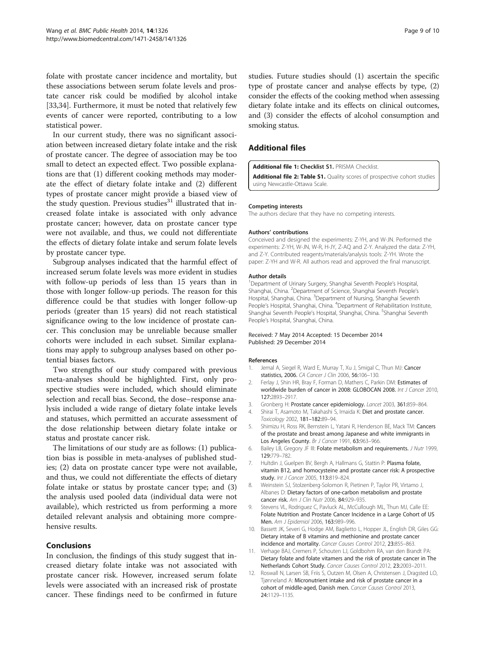<span id="page-8-0"></span>folate with prostate cancer incidence and mortality, but these associations between serum folate levels and prostate cancer risk could be modified by alcohol intake [[33,34\]](#page-9-0). Furthermore, it must be noted that relatively few events of cancer were reported, contributing to a low statistical power.

In our current study, there was no significant association between increased dietary folate intake and the risk of prostate cancer. The degree of association may be too small to detect an expected effect. Two possible explanations are that (1) different cooking methods may moderate the effect of dietary folate intake and (2) different types of prostate cancer might provide a biased view of the study question. Previous studies<sup>31</sup> illustrated that increased folate intake is associated with only advance prostate cancer; however, data on prostate cancer type were not available, and thus, we could not differentiate the effects of dietary folate intake and serum folate levels by prostate cancer type.

Subgroup analyses indicated that the harmful effect of increased serum folate levels was more evident in studies with follow-up periods of less than 15 years than in those with longer follow-up periods. The reason for this difference could be that studies with longer follow-up periods (greater than 15 years) did not reach statistical significance owing to the low incidence of prostate cancer. This conclusion may be unreliable because smaller cohorts were included in each subset. Similar explanations may apply to subgroup analyses based on other potential biases factors.

Two strengths of our study compared with previous meta-analyses should be highlighted. First, only prospective studies were included, which should eliminate selection and recall bias. Second, the dose–response analysis included a wide range of dietary folate intake levels and statuses, which permitted an accurate assessment of the dose relationship between dietary folate intake or status and prostate cancer risk.

The limitations of our study are as follows: (1) publication bias is possible in meta-analyses of published studies; (2) data on prostate cancer type were not available, and thus, we could not differentiate the effects of dietary folate intake or status by prostate cancer type; and (3) the analysis used pooled data (individual data were not available), which restricted us from performing a more detailed relevant analysis and obtaining more comprehensive results.

# Conclusions

In conclusion, the findings of this study suggest that increased dietary folate intake was not associated with prostate cancer risk. However, increased serum folate levels were associated with an increased risk of prostate cancer. These findings need to be confirmed in future

studies. Future studies should (1) ascertain the specific type of prostate cancer and analyse effects by type, (2) consider the effects of the cooking method when assessing dietary folate intake and its effects on clinical outcomes, and (3) consider the effects of alcohol consumption and smoking status.

# Additional files

#### [Additional file 1:](http://www.biomedcentral.com/content/supplementary/1471-2458-14-1326-S1.doc) Checklist S1. PRISMA Checklist.

[Additional file 2: Table S1.](http://www.biomedcentral.com/content/supplementary/1471-2458-14-1326-S2.doc) Quality scores of prospective cohort studies using Newcastle-Ottawa Scale.

#### Competing interests

The authors declare that they have no competing interests.

#### Authors' contributions

Conceived and designed the experiments: Z-YH, and W-JN. Performed the experiments: Z-YH, W-JN, W-R, H-JY, Z-AQ and Z-Y. Analyzed the data: Z-YH, and Z-Y. Contributed reagents/materials/analysis tools: Z-YH. Wrote the paper: Z-YH and W-R. All authors read and approved the final manuscript.

#### Author details

<sup>1</sup>Department of Urinary Surgery, Shanghai Seventh People's Hospital Shanghai, China. <sup>2</sup>Department of Science, Shanghai Seventh People's Hospital, Shanghai, China. <sup>3</sup>Department of Nursing, Shanghai Seventh People's Hospital, Shanghai, China. <sup>4</sup>Department of Rehabilitation Institute Shanghai Seventh People's Hospital, Shanghai, China. <sup>5</sup>Shanghai Seventh People's Hospital, Shanghai, China.

#### Received: 7 May 2014 Accepted: 15 December 2014 Published: 29 December 2014

#### References

- 1. Jemal A, Siegel R, Ward E, Murray T, Xu J, Smigal C, Thun MJ: Cancer statistics, 2006. CA Cancer J Clin 2006, 56:106-130.
- 2. Ferlay J, Shin HR, Bray F, Forman D, Mathers C, Parkin DM: Estimates of worldwide burden of cancer in 2008: GLOBOCAN 2008. Int J Cancer 2010, 127:2893–2917.
- 3. Gronberg H: Prostate cancer epidemiology. Lancet 2003, 361:859–864.
- 4. Shirai T, Asamoto M, Takahashi S, Imaida K: Diet and prostate cancer. Toxicology 2002, 181–182:89–94.
- 5. Shimizu H, Ross RK, Bernstein L, Yatani R, Henderson BE, Mack TM: Cancers of the prostate and breast among Japanese and white immigrants in Los Angeles County. Br J Cancer 1991, 63:963-966.
- 6. Bailey LB, Gregory JF III: Folate metabolism and requirements. J Nutr 1999, 129:779–782.
- 7. Hultdin J, Guelpen BV, Bergh A, Hallmans G, Stattin P: Plasma folate, vitamin B12, and homocysteine and prostate cancer risk: A prospective study. Int J Cancer 2005, 113:819-824.
- 8. Weinstein SJ, Stolzenberg-Solomon R, Pietinen P, Taylor PR, Virtamo J, Albanes D: Dietary factors of one-carbon metabolism and prostate cancer risk. Am J Clin Nutr 2006, 84:929-935.
- 9. Stevens VL, Rodriguez C, Pavluck AL, McCullough ML, Thun MJ, Calle EE: Folate Nutrition and Prostate Cancer Incidence in a Large Cohort of US Men. Am J Epidemiol 2006, 163:989–996.
- 10. Bassett JK, Severi G, Hodge AM, Baglietto L, Hopper JL, English DR, Giles GG: Dietary intake of B vitamins and methionine and prostate cancer incidence and mortality. Cancer Causes Control 2012, 23:855-863.
- 11. Verhage BAJ, Cremers P, Schouten LJ, Goldbohm RA, van den Brandt PA: Dietary folate and folate vitamers and the risk of prostate cancer in The Netherlands Cohort Study. Cancer Causes Control 2012, 23:2003–2011.
- 12. Roswall N, Larsen SB, Friis S, Outzen M, Olsen A, Christensen J, Dragsted LO, Tjønneland A: Micronutrient intake and risk of prostate cancer in a cohort of middle-aged, Danish men. Cancer Causes Control 2013, 24:1129–1135.